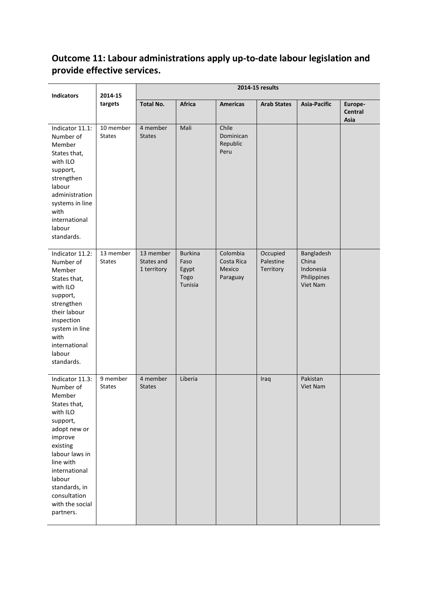# **Outcome 11: Labour administrations apply up-to-date labour legislation and provide effective services.**

| <b>Indicators</b>                                                                                                                                                                                                                                | 2014-15<br>targets         | 2014-15 results                        |                                                    |                                              |                                    |                                                             |                            |
|--------------------------------------------------------------------------------------------------------------------------------------------------------------------------------------------------------------------------------------------------|----------------------------|----------------------------------------|----------------------------------------------------|----------------------------------------------|------------------------------------|-------------------------------------------------------------|----------------------------|
|                                                                                                                                                                                                                                                  |                            | <b>Total No.</b>                       | Africa                                             | <b>Americas</b>                              | <b>Arab States</b>                 | <b>Asia-Pacific</b>                                         | Europe-<br>Central<br>Asia |
| Indicator 11.1:<br>Number of<br>Member<br>States that,<br>with ILO<br>support,<br>strengthen<br>labour<br>administration<br>systems in line<br>with<br>international<br>labour<br>standards.                                                     | 10 member<br><b>States</b> | 4 member<br><b>States</b>              | Mali                                               | Chile<br>Dominican<br>Republic<br>Peru       |                                    |                                                             |                            |
| Indicator 11.2:<br>Number of<br>Member<br>States that,<br>with ILO<br>support,<br>strengthen<br>their labour<br>inspection<br>system in line<br>with<br>international<br>labour<br>standards.                                                    | 13 member<br><b>States</b> | 13 member<br>States and<br>1 territory | <b>Burkina</b><br>Faso<br>Egypt<br>Togo<br>Tunisia | Colombia<br>Costa Rica<br>Mexico<br>Paraguay | Occupied<br>Palestine<br>Territory | Bangladesh<br>China<br>Indonesia<br>Philippines<br>Viet Nam |                            |
| Indicator 11.3:<br>Number of<br>Member<br>States that,<br>with ILO<br>support,<br>adopt new or<br>improve<br>existing<br>labour laws in<br>line with<br>international<br>labour<br>standards, in<br>consultation<br>with the social<br>partners. | 9 member<br><b>States</b>  | 4 member<br><b>States</b>              | Liberia                                            |                                              | Iraq                               | Pakistan<br>Viet Nam                                        |                            |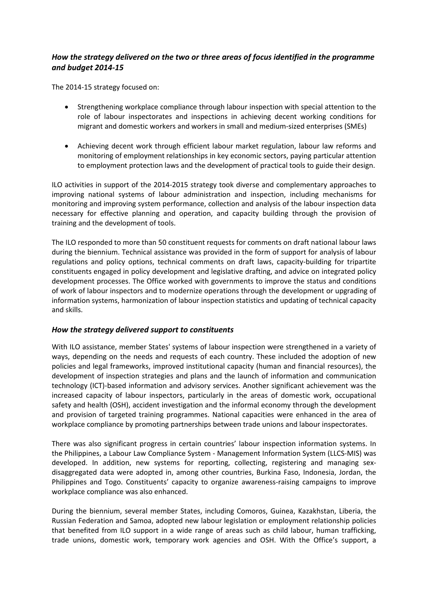## *How the strategy delivered on the two or three areas of focus identified in the programme and budget 2014-15*

The 2014-15 strategy focused on:

- Strengthening workplace compliance through labour inspection with special attention to the role of labour inspectorates and inspections in achieving decent working conditions for migrant and domestic workers and workers in small and medium-sized enterprises (SMEs)
- Achieving decent work through efficient labour market regulation, labour law reforms and monitoring of employment relationships in key economic sectors, paying particular attention to employment protection laws and the development of practical tools to guide their design.

ILO activities in support of the 2014-2015 strategy took diverse and complementary approaches to improving national systems of labour administration and inspection, including mechanisms for monitoring and improving system performance, collection and analysis of the labour inspection data necessary for effective planning and operation, and capacity building through the provision of training and the development of tools.

The ILO responded to more than 50 constituent requests for comments on draft national labour laws during the biennium. Technical assistance was provided in the form of support for analysis of labour regulations and policy options, technical comments on draft laws, capacity-building for tripartite constituents engaged in policy development and legislative drafting, and advice on integrated policy development processes. The Office worked with governments to improve the status and conditions of work of labour inspectors and to modernize operations through the development or upgrading of information systems, harmonization of labour inspection statistics and updating of technical capacity and skills.

### *How the strategy delivered support to constituents*

With ILO assistance, member States' systems of labour inspection were strengthened in a variety of ways, depending on the needs and requests of each country. These included the adoption of new policies and legal frameworks, improved institutional capacity (human and financial resources), the development of inspection strategies and plans and the launch of information and communication technology (ICT)-based information and advisory services. Another significant achievement was the increased capacity of labour inspectors, particularly in the areas of domestic work, occupational safety and health (OSH), accident investigation and the informal economy through the development and provision of targeted training programmes. National capacities were enhanced in the area of workplace compliance by promoting partnerships between trade unions and labour inspectorates.

There was also significant progress in certain countries' labour inspection information systems. In the Philippines, a Labour Law Compliance System - Management Information System (LLCS-MIS) was developed. In addition, new systems for reporting, collecting, registering and managing sexdisaggregated data were adopted in, among other countries, Burkina Faso, Indonesia, Jordan, the Philippines and Togo. Constituents' capacity to organize awareness-raising campaigns to improve workplace compliance was also enhanced.

During the biennium, several member States, including Comoros, Guinea, Kazakhstan, Liberia, the Russian Federation and Samoa, adopted new labour legislation or employment relationship policies that benefited from ILO support in a wide range of areas such as child labour, human trafficking, trade unions, domestic work, temporary work agencies and OSH. With the Office's support, a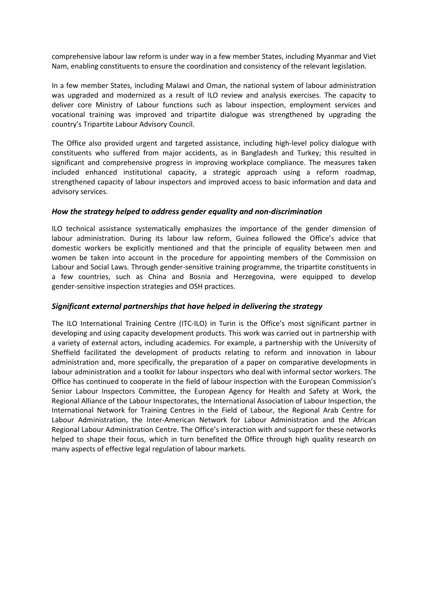comprehensive labour law reform is under way in a few member States, including Myanmar and Viet Nam, enabling constituents to ensure the coordination and consistency of the relevant legislation.

In a few member States, including Malawi and Oman, the national system of labour administration was upgraded and modernized as a result of ILO review and analysis exercises. The capacity to deliver core Ministry of Labour functions such as labour inspection, employment services and vocational training was improved and tripartite dialogue was strengthened by upgrading the country's Tripartite Labour Advisory Council.

The Office also provided urgent and targeted assistance, including high-level policy dialogue with constituents who suffered from major accidents, as in Bangladesh and Turkey; this resulted in significant and comprehensive progress in improving workplace compliance. The measures taken included enhanced institutional capacity, a strategic approach using a reform roadmap, strengthened capacity of labour inspectors and improved access to basic information and data and advisory services.

#### *How the strategy helped to address gender equality and non-discrimination*

ILO technical assistance systematically emphasizes the importance of the gender dimension of labour administration. During its labour law reform, Guinea followed the Office's advice that domestic workers be explicitly mentioned and that the principle of equality between men and women be taken into account in the procedure for appointing members of the Commission on Labour and Social Laws. Through gender-sensitive training programme, the tripartite constituents in a few countries, such as China and Bosnia and Herzegovina, were equipped to develop gender-sensitive inspection strategies and OSH practices.

#### *Significant external partnerships that have helped in delivering the strategy*

The ILO International Training Centre (ITC-ILO) in Turin is the Office's most significant partner in developing and using capacity development products. This work was carried out in partnership with a variety of external actors, including academics. For example, a partnership with the University of Sheffield facilitated the development of products relating to reform and innovation in labour administration and, more specifically, the preparation of a paper on comparative developments in labour administration and a toolkit for labour inspectors who deal with informal sector workers. The Office has continued to cooperate in the field of labour inspection with the European Commission's Senior Labour Inspectors Committee, the European Agency for Health and Safety at Work, the Regional Alliance of the Labour Inspectorates, the International Association of Labour Inspection, the International Network for Training Centres in the Field of Labour, the Regional Arab Centre for Labour Administration, the Inter-American Network for Labour Administration and the African Regional Labour Administration Centre. The Office's interaction with and support for these networks helped to shape their focus, which in turn benefited the Office through high quality research on many aspects of effective legal regulation of labour markets.